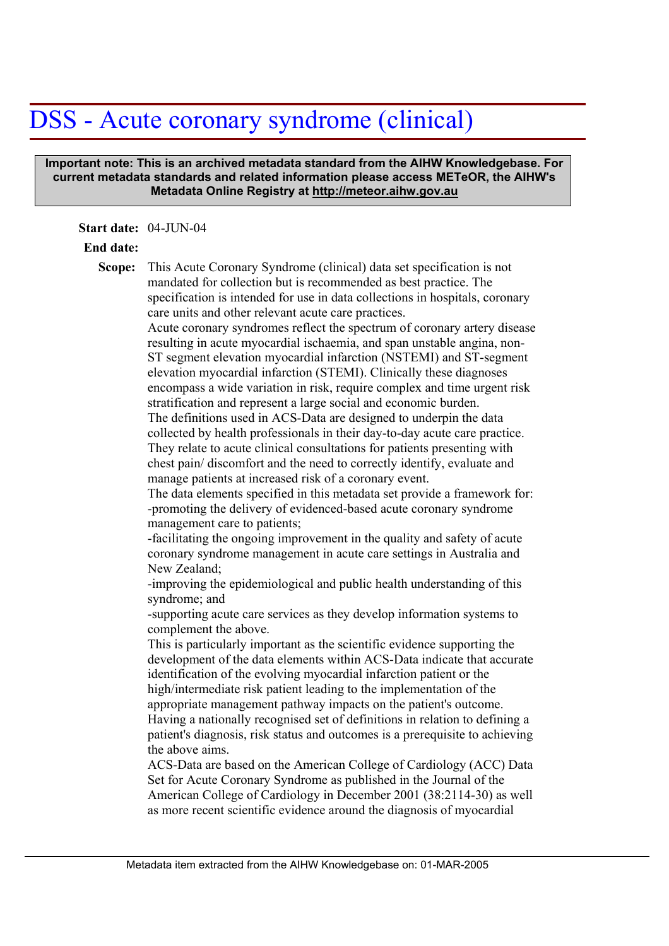## DSS - Acute coronary syndrome (clinical)

 **Important note: This is an archived metadata standard from the AIHW Knowledgebase. For current metadata standards and related information please access METeOR, the AIHW's Metadata Online Registry at http://meteor.aihw.gov.au**

**Start date:** 04-JUN-04

## **End date:**

This Acute Coronary Syndrome (clinical) data set specification is not mandated for collection but is recommended as best practice. The specification is intended for use in data collections in hospitals, coronary care units and other relevant acute care practices. Acute coronary syndromes reflect the spectrum of coronary artery disease resulting in acute myocardial ischaemia, and span unstable angina, non-ST segment elevation myocardial infarction (NSTEMI) and ST-segment elevation myocardial infarction (STEMI). Clinically these diagnoses encompass a wide variation in risk, require complex and time urgent risk stratification and represent a large social and economic burden. The definitions used in ACS-Data are designed to underpin the data collected by health professionals in their day-to-day acute care practice. They relate to acute clinical consultations for patients presenting with chest pain/ discomfort and the need to correctly identify, evaluate and manage patients at increased risk of a coronary event. The data elements specified in this metadata set provide a framework for: **Scope:** 

-promoting the delivery of evidenced-based acute coronary syndrome management care to patients;

-facilitating the ongoing improvement in the quality and safety of acute coronary syndrome management in acute care settings in Australia and New Zealand;

-improving the epidemiological and public health understanding of this syndrome; and

-supporting acute care services as they develop information systems to complement the above.

This is particularly important as the scientific evidence supporting the development of the data elements within ACS-Data indicate that accurate identification of the evolving myocardial infarction patient or the high/intermediate risk patient leading to the implementation of the appropriate management pathway impacts on the patient's outcome. Having a nationally recognised set of definitions in relation to defining a patient's diagnosis, risk status and outcomes is a prerequisite to achieving the above aims.

ACS-Data are based on the American College of Cardiology (ACC) Data Set for Acute Coronary Syndrome as published in the Journal of the American College of Cardiology in December 2001 (38:2114-30) as well as more recent scientific evidence around the diagnosis of myocardial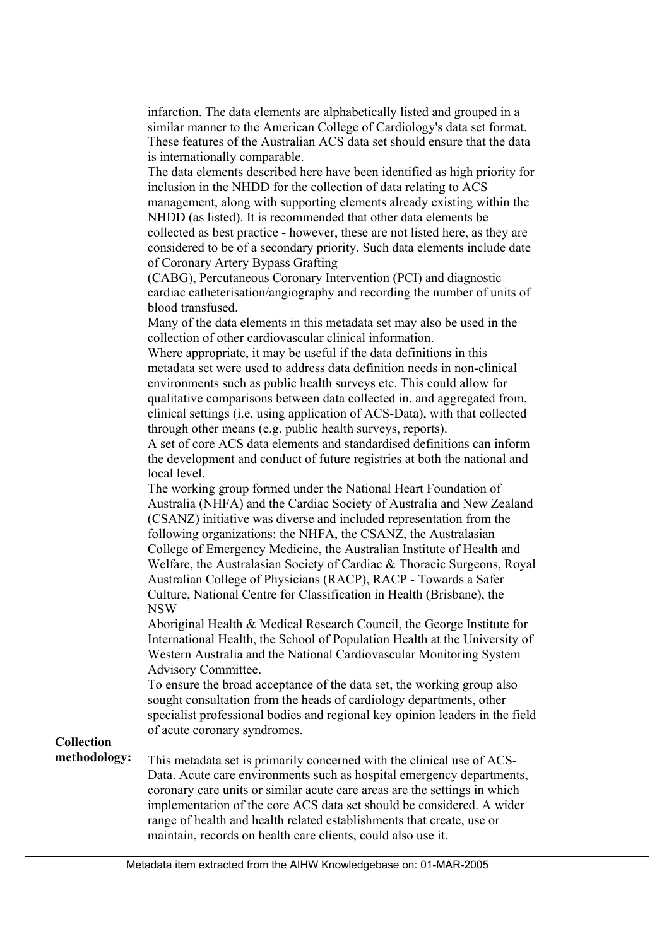infarction. The data elements are alphabetically listed and grouped in a similar manner to the American College of Cardiology's data set format. These features of the Australian ACS data set should ensure that the data is internationally comparable.

The data elements described here have been identified as high priority for inclusion in the NHDD for the collection of data relating to ACS management, along with supporting elements already existing within the NHDD (as listed). It is recommended that other data elements be collected as best practice - however, these are not listed here, as they are considered to be of a secondary priority. Such data elements include date of Coronary Artery Bypass Grafting

(CABG), Percutaneous Coronary Intervention (PCI) and diagnostic cardiac catheterisation/angiography and recording the number of units of blood transfused.

Many of the data elements in this metadata set may also be used in the collection of other cardiovascular clinical information.

Where appropriate, it may be useful if the data definitions in this metadata set were used to address data definition needs in non-clinical environments such as public health surveys etc. This could allow for qualitative comparisons between data collected in, and aggregated from, clinical settings (i.e. using application of ACS-Data), with that collected through other means (e.g. public health surveys, reports).

A set of core ACS data elements and standardised definitions can inform the development and conduct of future registries at both the national and local level.

The working group formed under the National Heart Foundation of Australia (NHFA) and the Cardiac Society of Australia and New Zealand (CSANZ) initiative was diverse and included representation from the following organizations: the NHFA, the CSANZ, the Australasian College of Emergency Medicine, the Australian Institute of Health and Welfare, the Australasian Society of Cardiac & Thoracic Surgeons, Royal Australian College of Physicians (RACP), RACP - Towards a Safer Culture, National Centre for Classification in Health (Brisbane), the NSW

Aboriginal Health & Medical Research Council, the George Institute for International Health, the School of Population Health at the University of Western Australia and the National Cardiovascular Monitoring System Advisory Committee.

To ensure the broad acceptance of the data set, the working group also sought consultation from the heads of cardiology departments, other specialist professional bodies and regional key opinion leaders in the field of acute coronary syndromes.

**Collection** 

This metadata set is primarily concerned with the clinical use of ACS-Data. Acute care environments such as hospital emergency departments, coronary care units or similar acute care areas are the settings in which implementation of the core ACS data set should be considered. A wider range of health and health related establishments that create, use or maintain, records on health care clients, could also use it. **methodology:**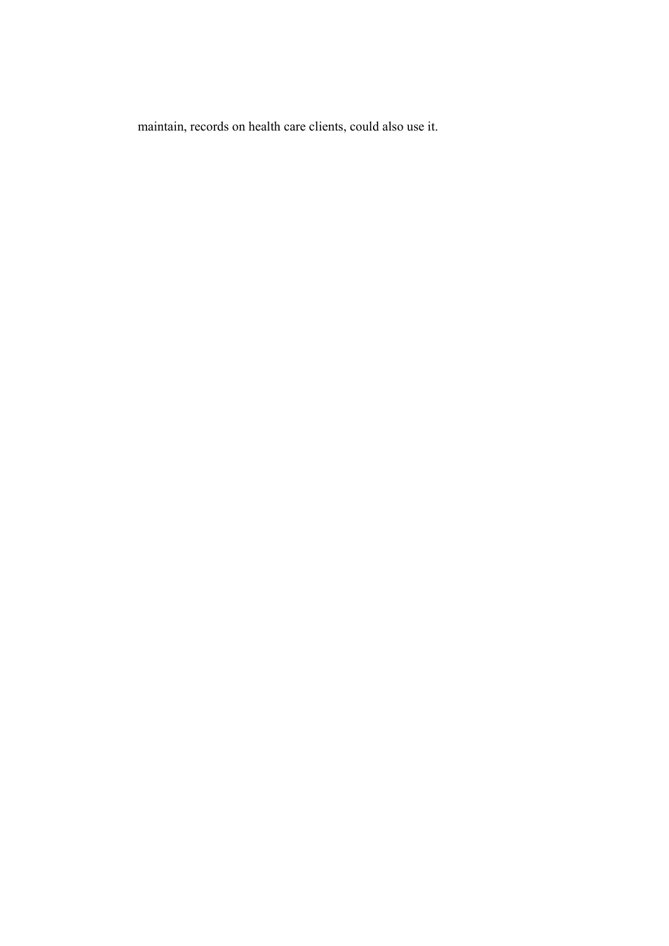maintain, records on health care clients, could also use it.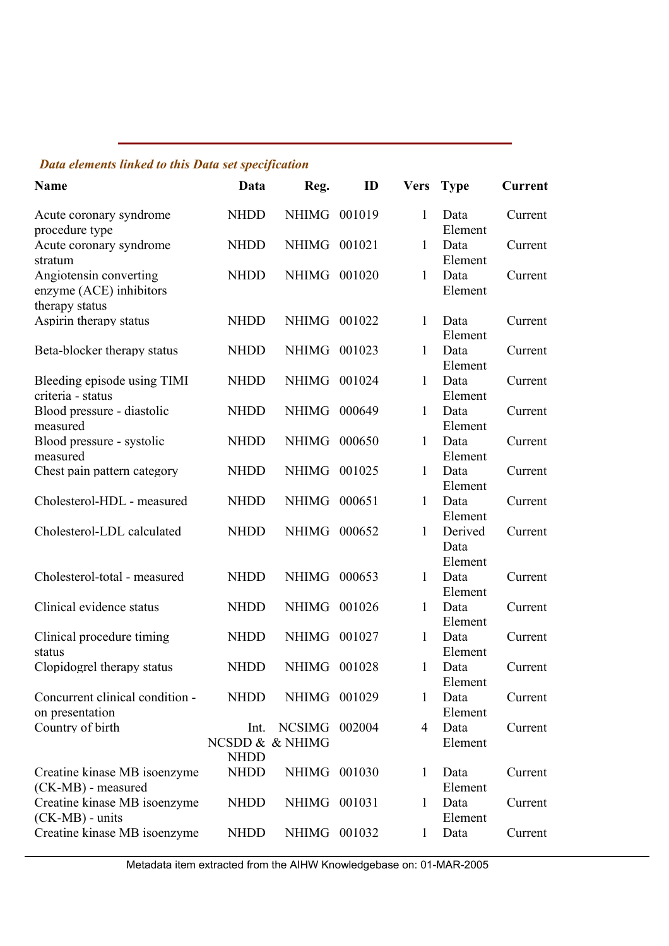## *Data elements linked to this Data set specification*

| Name                                                                | Data                                   | Reg.          | ID     | <b>Vers</b>  | <b>Type</b>                | <b>Current</b> |
|---------------------------------------------------------------------|----------------------------------------|---------------|--------|--------------|----------------------------|----------------|
| Acute coronary syndrome<br>procedure type                           | <b>NHDD</b>                            | NHIMG         | 001019 | 1            | Data<br>Element            | Current        |
| Acute coronary syndrome<br>stratum                                  | <b>NHDD</b>                            | NHIMG         | 001021 | 1            | Data<br>Element            | Current        |
| Angiotensin converting<br>enzyme (ACE) inhibitors<br>therapy status | <b>NHDD</b>                            | <b>NHIMG</b>  | 001020 | $\mathbf{1}$ | Data<br>Element            | Current        |
| Aspirin therapy status                                              | <b>NHDD</b>                            | NHIMG         | 001022 | 1            | Data<br>Element            | Current        |
| Beta-blocker therapy status                                         | <b>NHDD</b>                            | NHIMG         | 001023 | 1            | Data<br>Element            | Current        |
| Bleeding episode using TIMI<br>criteria - status                    | <b>NHDD</b>                            | <b>NHIMG</b>  | 001024 | $\mathbf{1}$ | Data<br>Element            | Current        |
| Blood pressure - diastolic<br>measured                              | <b>NHDD</b>                            | <b>NHIMG</b>  | 000649 | $\mathbf{1}$ | Data<br>Element            | Current        |
| Blood pressure - systolic<br>measured                               | <b>NHDD</b>                            | <b>NHIMG</b>  | 000650 | 1            | Data<br>Element            | Current        |
| Chest pain pattern category                                         | <b>NHDD</b>                            | <b>NHIMG</b>  | 001025 | 1            | Data<br>Element            | Current        |
| Cholesterol-HDL - measured                                          | <b>NHDD</b>                            | <b>NHIMG</b>  | 000651 | $\mathbf{1}$ | Data<br>Element            | Current        |
| Cholesterol-LDL calculated                                          | <b>NHDD</b>                            | <b>NHIMG</b>  | 000652 | $\mathbf{1}$ | Derived<br>Data<br>Element | Current        |
| Cholesterol-total - measured                                        | <b>NHDD</b>                            | <b>NHIMG</b>  | 000653 | 1            | Data<br>Element            | Current        |
| Clinical evidence status                                            | <b>NHDD</b>                            | <b>NHIMG</b>  | 001026 | 1            | Data<br>Element            | Current        |
| Clinical procedure timing<br>status                                 | <b>NHDD</b>                            | <b>NHIMG</b>  | 001027 | $\mathbf{1}$ | Data<br>Element            | Current        |
| Clopidogrel therapy status                                          | <b>NHDD</b>                            | NHIMG         | 001028 | $\mathbf{1}$ | Data<br>Element            | Current        |
| Concurrent clinical condition -<br>on presentation                  | <b>NHDD</b>                            | NHIMG 001029  |        | 1            | Data<br>Element            | Current        |
| Country of birth                                                    | Int.<br>NCSDD & & NHIMG<br><b>NHDD</b> | <b>NCSIMG</b> | 002004 | 4            | Data<br>Element            | Current        |
| Creatine kinase MB isoenzyme<br>(CK-MB) - measured                  | <b>NHDD</b>                            | NHIMG 001030  |        | $\mathbf{1}$ | Data<br>Element            | Current        |
| Creatine kinase MB isoenzyme<br>(CK-MB) - units                     | <b>NHDD</b>                            | NHIMG 001031  |        | 1            | Data<br>Element            | Current        |
| Creatine kinase MB isoenzyme                                        | <b>NHDD</b>                            | NHIMG 001032  |        | $\mathbf{1}$ | Data                       | Current        |

Metadata item extracted from the AIHW Knowledgebase on: 01-MAR-2005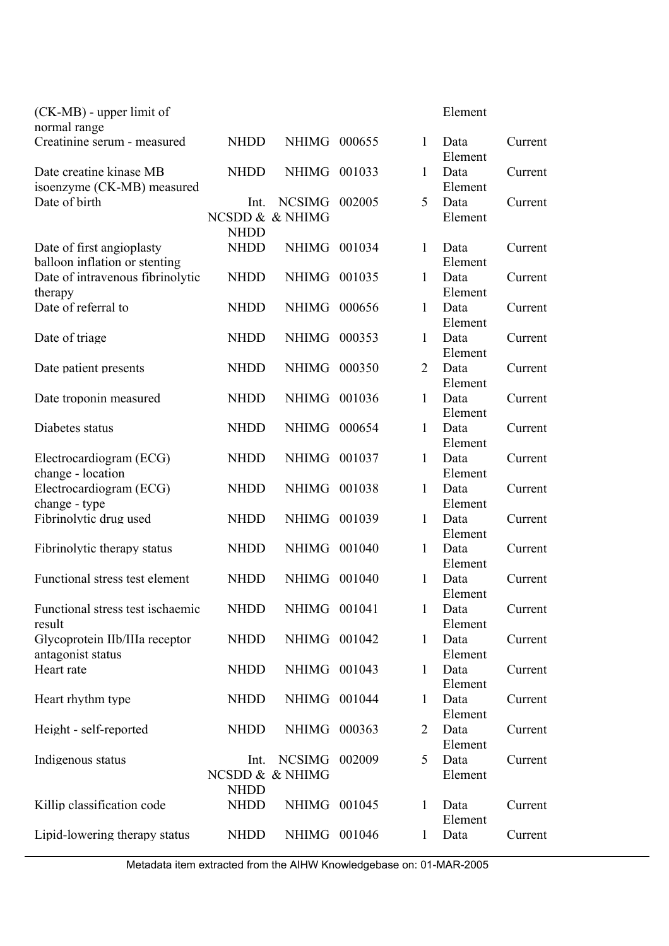| $(CK-MB)$ - upper limit of<br>normal range                 |                            |               |        |                | Element                    |         |
|------------------------------------------------------------|----------------------------|---------------|--------|----------------|----------------------------|---------|
| Creatinine serum - measured                                | <b>NHDD</b>                | NHIMG 000655  |        | 1              | Data<br>Element            | Current |
| Date creatine kinase MB<br>isoenzyme (CK-MB) measured      | <b>NHDD</b>                | NHIMG         | 001033 | 1              | Data<br>Element            | Current |
| Date of birth                                              | Int.<br>NCSDD & & NHIMG    | <b>NCSIMG</b> | 002005 | 5              | Data<br>Element            | Current |
|                                                            | <b>NHDD</b>                |               |        |                |                            |         |
| Date of first angioplasty<br>balloon inflation or stenting | <b>NHDD</b>                | <b>NHIMG</b>  | 001034 | 1              | Data<br>Element            | Current |
| Date of intravenous fibrinolytic<br>therapy                | <b>NHDD</b>                | <b>NHIMG</b>  | 001035 | 1              | Data<br>Element            | Current |
| Date of referral to                                        | <b>NHDD</b>                | <b>NHIMG</b>  | 000656 | $\mathbf{1}$   | Data<br>Element            | Current |
| Date of triage                                             | <b>NHDD</b>                | <b>NHIMG</b>  | 000353 | 1              | Data<br>Element            | Current |
| Date patient presents                                      | <b>NHDD</b>                | <b>NHIMG</b>  | 000350 | $\overline{2}$ | Data<br>Element            | Current |
| Date troponin measured                                     | <b>NHDD</b>                | <b>NHIMG</b>  | 001036 | 1              | Data<br>Element            | Current |
| Diabetes status                                            | <b>NHDD</b>                | <b>NHIMG</b>  | 000654 | $\mathbf{1}$   | Data<br>Element            | Current |
| Electrocardiogram (ECG)<br>change - location               | <b>NHDD</b>                | <b>NHIMG</b>  | 001037 | $\mathbf{1}$   | Data<br>Element            | Current |
| Electrocardiogram (ECG)<br>change - type                   | <b>NHDD</b>                | NHIMG         | 001038 | 1              | Data<br>Element            | Current |
| Fibrinolytic drug used                                     | <b>NHDD</b>                | NHIMG 001039  |        | $\mathbf{1}$   | Data<br>Element            | Current |
| Fibrinolytic therapy status                                | <b>NHDD</b>                | <b>NHIMG</b>  | 001040 | 1              | Data<br>Element            | Current |
| Functional stress test element                             | <b>NHDD</b>                | <b>NHIMG</b>  | 001040 | $\mathbf{1}$   | Data<br>Element            | Current |
| Functional stress test ischaemic<br>result                 | <b>NHDD</b>                | NHIMG 001041  |        | 1              | Data<br>Element            | Current |
| Glycoprotein IIb/IIIa receptor<br>antagonist status        | <b>NHDD</b>                | NHIMG 001042  |        | 1              | Data<br>Element            | Current |
| Heart rate                                                 | <b>NHDD</b>                | NHIMG 001043  |        | 1              | Data<br>Element            | Current |
| Heart rhythm type                                          | <b>NHDD</b>                | NHIMG 001044  |        | 1              | Data<br>Element            | Current |
| Height - self-reported                                     | <b>NHDD</b>                | NHIMG 000363  |        | $\overline{2}$ | Data                       | Current |
| Indigenous status                                          | Int.<br>NCSDD & & NHIMG    | <b>NCSIMG</b> | 002009 | 5              | Element<br>Data<br>Element | Current |
| Killip classification code                                 | <b>NHDD</b><br><b>NHDD</b> | NHIMG 001045  |        | 1              | Data                       | Current |
| Lipid-lowering therapy status                              | <b>NHDD</b>                | NHIMG 001046  |        | $\mathbf{1}$   | Element<br>Data            | Current |

Metadata item extracted from the AIHW Knowledgebase on: 01-MAR-2005